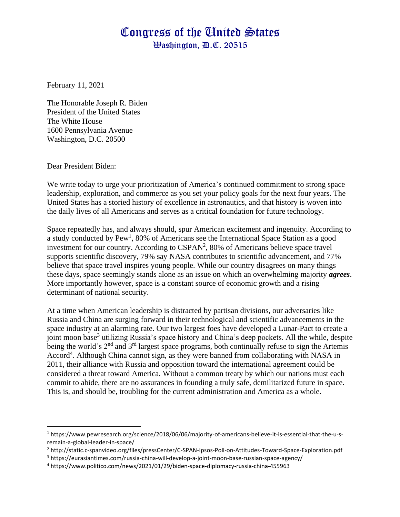## Congress of the United States

Washington, D.C. 20515

February 11, 2021

The Honorable Joseph R. Biden President of the United States The White House 1600 Pennsylvania Avenue Washington, D.C. 20500

Dear President Biden:

We write today to urge your prioritization of America's continued commitment to strong space leadership, exploration, and commerce as you set your policy goals for the next four years. The United States has a storied history of excellence in astronautics, and that history is woven into the daily lives of all Americans and serves as a critical foundation for future technology.

Space repeatedly has, and always should, spur American excitement and ingenuity. According to a study conducted by Pew<sup>1</sup>, 80% of Americans see the International Space Station as a good investment for our country. According to  $CSPAN<sup>2</sup>$ , 80% of Americans believe space travel supports scientific discovery, 79% say NASA contributes to scientific advancement, and 77% believe that space travel inspires young people. While our country disagrees on many things these days, space seemingly stands alone as an issue on which an overwhelming majority *agrees*. More importantly however, space is a constant source of economic growth and a rising determinant of national security.

At a time when American leadership is distracted by partisan divisions, our adversaries like Russia and China are surging forward in their technological and scientific advancements in the space industry at an alarming rate. Our two largest foes have developed a Lunar-Pact to create a joint moon base<sup>3</sup> utilizing Russia's space history and China's deep pockets. All the while, despite being the world's 2<sup>nd</sup> and 3<sup>rd</sup> largest space programs, both continually refuse to sign the Artemis Accord<sup>4</sup>. Although China cannot sign, as they were banned from collaborating with NASA in 2011, their alliance with Russia and opposition toward the international agreement could be considered a threat toward America. Without a common treaty by which our nations must each commit to abide, there are no assurances in founding a truly safe, demilitarized future in space. This is, and should be, troubling for the current administration and America as a whole.

<sup>1</sup> https://www.pewresearch.org/science/2018/06/06/majority-of-americans-believe-it-is-essential-that-the-u-sremain-a-global-leader-in-space/

<sup>2</sup> http://static.c-spanvideo.org/files/pressCenter/C-SPAN-Ipsos-Poll-on-Attitudes-Toward-Space-Exploration.pdf

<sup>3</sup> https://eurasiantimes.com/russia-china-will-develop-a-joint-moon-base-russian-space-agency/

<sup>4</sup> https://www.politico.com/news/2021/01/29/biden-space-diplomacy-russia-china-455963